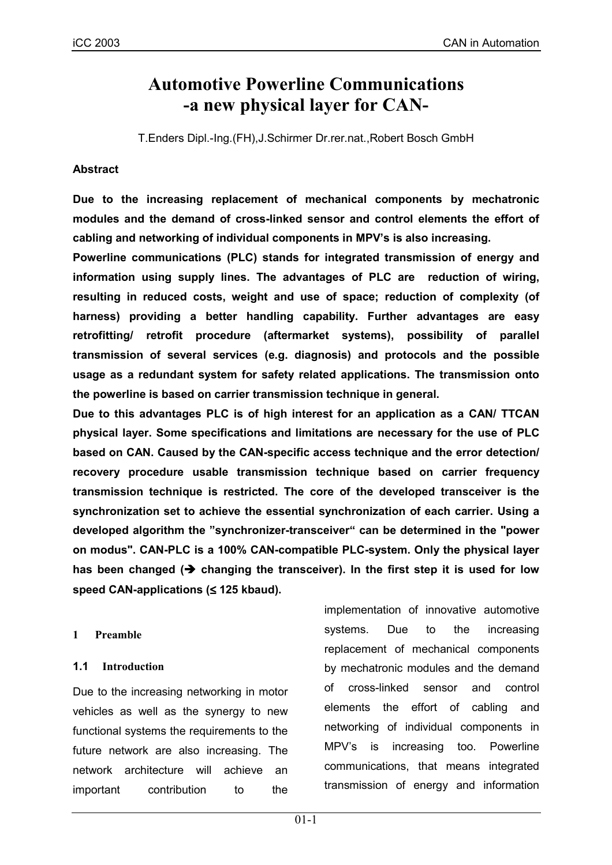# **Automotive Powerline Communications -a new physical layer for CAN-**

T.Enders Dipl.-Ing.(FH),J.Schirmer Dr.rer.nat.,Robert Bosch GmbH

## **Abstract**

**Due to the increasing replacement of mechanical components by mechatronic modules and the demand of cross-linked sensor and control elements the effort of cabling and networking of individual components in MPVís is also increasing.**

**Powerline communications (PLC) stands for integrated transmission of energy and information using supply lines. The advantages of PLC are reduction of wiring, resulting in reduced costs, weight and use of space; reduction of complexity (of harness) providing a better handling capability. Further advantages are easy retrofitting/ retrofit procedure (aftermarket systems), possibility of parallel transmission of several services (e.g. diagnosis) and protocols and the possible usage as a redundant system for safety related applications. The transmission onto the powerline is based on carrier transmission technique in general.**

**Due to this advantages PLC is of high interest for an application as a CAN/ TTCAN physical layer. Some specifications and limitations are necessary for the use of PLC based on CAN. Caused by the CAN-specific access technique and the error detection/ recovery procedure usable transmission technique based on carrier frequency transmission technique is restricted. The core of the developed transceiver is the synchronization set to achieve the essential synchronization of each carrier. Using a** developed algorithm the "synchronizer-transceiver" can be determined in the "power **on modus". CAN-PLC is a 100% CAN-compatible PLC-system. Only the physical layer** has been changed ( $\rightarrow$  changing the transceiver). In the first step it is used for low **speed CAN-applications (**≤ **125 kbaud).**

#### **1 Preamble**

#### **1.1 Introduction**

Due to the increasing networking in motor vehicles as well as the synergy to new functional systems the requirements to the future network are also increasing. The network architecture will achieve an important contribution to the implementation of innovative automotive systems. Due to the increasing replacement of mechanical components by mechatronic modules and the demand of cross-linked sensor and control elements the effort of cabling and networking of individual components in MPV's is increasing too. Powerline communications, that means integrated transmission of energy and information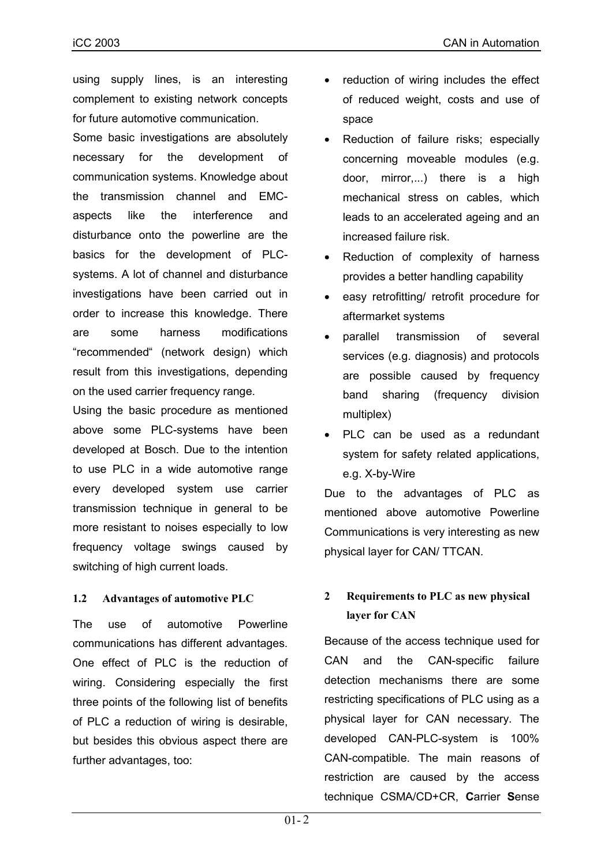using supply lines, is an interesting complement to existing network concepts for future automotive communication.

Some basic investigations are absolutely necessary for the development of communication systems. Knowledge about the transmission channel and EMCaspects like the interference and disturbance onto the powerline are the basics for the development of PLCsystems. A lot of channel and disturbance investigations have been carried out in order to increase this knowledge. There are some harness modifications "recommended" (network design) which result from this investigations, depending on the used carrier frequency range.

Using the basic procedure as mentioned above some PLC-systems have been developed at Bosch. Due to the intention to use PLC in a wide automotive range every developed system use carrier transmission technique in general to be more resistant to noises especially to low frequency voltage swings caused by switching of high current loads.

## **1.2 Advantages of automotive PLC**

The use of automotive Powerline communications has different advantages. One effect of PLC is the reduction of wiring. Considering especially the first three points of the following list of benefits of PLC a reduction of wiring is desirable, but besides this obvious aspect there are further advantages, too:

- reduction of wiring includes the effect of reduced weight, costs and use of space
- Reduction of failure risks; especially concerning moveable modules (e.g. door, mirror,...) there is a high mechanical stress on cables, which leads to an accelerated ageing and an increased failure risk.
- Reduction of complexity of harness provides a better handling capability
- easy retrofitting/ retrofit procedure for aftermarket systems
- parallel transmission of several services (e.g. diagnosis) and protocols are possible caused by frequency band sharing (frequency division multiplex)
- PLC can be used as a redundant system for safety related applications, e.g. X-by-Wire

Due to the advantages of PLC as mentioned above automotive Powerline Communications is very interesting as new physical layer for CAN/ TTCAN.

# **2 Requirements to PLC as new physical layer for CAN**

Because of the access technique used for CAN and the CAN-specific failure detection mechanisms there are some restricting specifications of PLC using as a physical layer for CAN necessary. The developed CAN-PLC-system is 100% CAN-compatible. The main reasons of restriction are caused by the access technique CSMA/CD+CR, **C**arrier **S**ense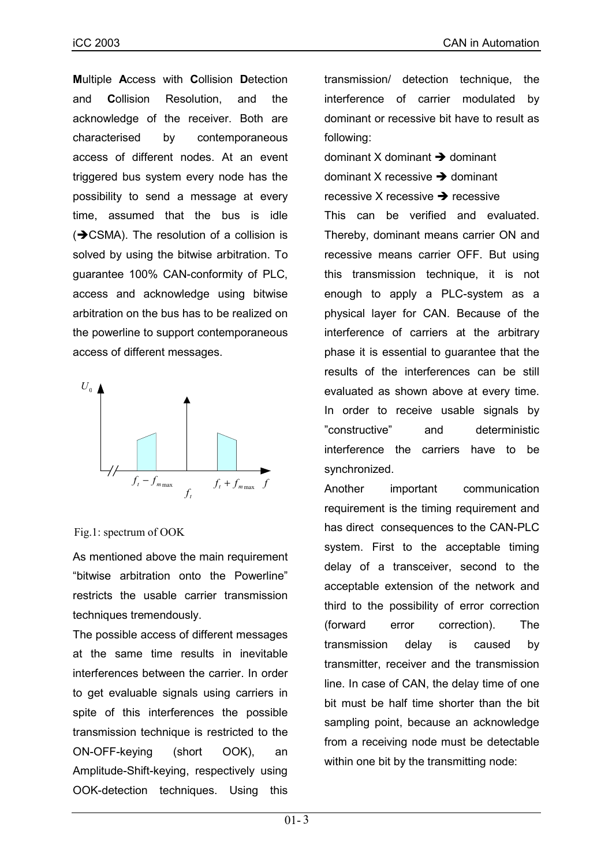**M**ultiple **A**ccess with **C**ollision **D**etection and **C**ollision Resolution, and the acknowledge of the receiver. Both are characterised by contemporaneous access of different nodes. At an event triggered bus system every node has the possibility to send a message at every time, assumed that the bus is idle  $(\rightarrow$  CSMA). The resolution of a collision is solved by using the bitwise arbitration. To guarantee 100% CAN-conformity of PLC, access and acknowledge using bitwise arbitration on the bus has to be realized on the powerline to support contemporaneous access of different messages.



#### Fig.1: spectrum of OOK

As mentioned above the main requirement "bitwise arbitration onto the Powerline" restricts the usable carrier transmission techniques tremendously.

The possible access of different messages at the same time results in inevitable interferences between the carrier. In order to get evaluable signals using carriers in spite of this interferences the possible transmission technique is restricted to the ON-OFF-keying (short OOK), an Amplitude-Shift-keying, respectively using OOK-detection techniques. Using this

transmission/ detection technique, the interference of carrier modulated by dominant or recessive bit have to result as following:

dominant X dominant  $\rightarrow$  dominant

dominant X recessive  $\rightarrow$  dominant

recessive X recessive  $\rightarrow$  recessive

This can be verified and evaluated. Thereby, dominant means carrier ON and recessive means carrier OFF. But using this transmission technique, it is not enough to apply a PLC-system as a physical layer for CAN. Because of the interference of carriers at the arbitrary phase it is essential to guarantee that the results of the interferences can be still evaluated as shown above at every time. In order to receive usable signals by îconstructiveî and deterministic interference the carriers have to be synchronized.

Another important communication requirement is the timing requirement and has direct consequences to the CAN-PLC system. First to the acceptable timing delay of a transceiver, second to the acceptable extension of the network and third to the possibility of error correction (forward error correction). The transmission delay is caused by transmitter, receiver and the transmission line. In case of CAN, the delay time of one bit must be half time shorter than the bit sampling point, because an acknowledge from a receiving node must be detectable within one bit by the transmitting node: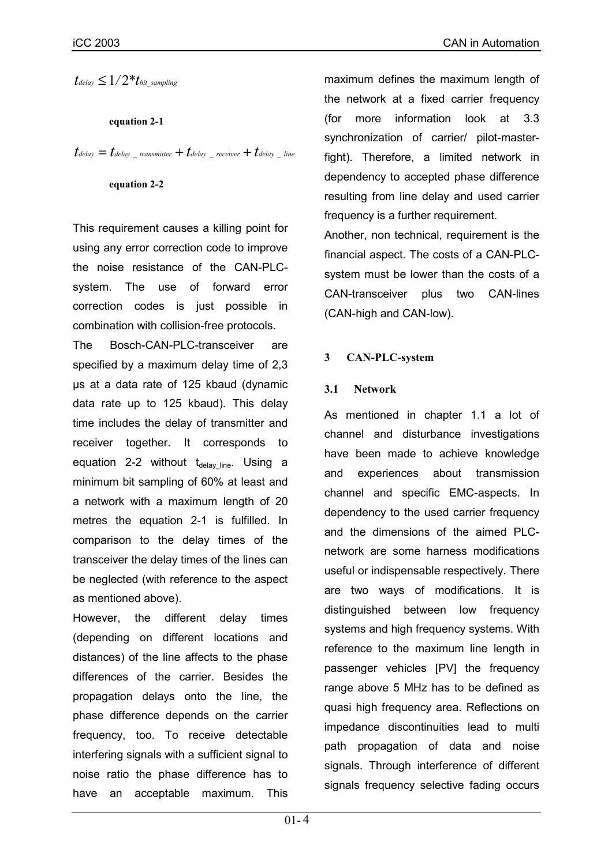$t_{delay} \leq 1/2* t_{bit\_sampling}$ 

**equation 2-1**

 $t_{delay} = t_{delay}$   $_{transmitter} + t_{delay}$   $_{receiver} + t_{delay}$   $_{line}$ 

#### **equation 2-2**

This requirement causes a killing point for using any error correction code to improve the noise resistance of the CAN-PLCsystem. The use of forward error correction codes is just possible in combination with collision-free protocols.

The Bosch-CAN-PLC-transceiver are specified by a maximum delay time of 2,3 µs at a data rate of 125 kbaud (dynamic data rate up to 125 kbaud). This delay time includes the delay of transmitter and receiver together. It corresponds to equation 2-2 without  $t_{delay line}$ . Using a minimum bit sampling of 60% at least and a network with a maximum length of 20 metres the equation 2-1 is fulfilled. In comparison to the delay times of the transceiver the delay times of the lines can be neglected (with reference to the aspect as mentioned above).

However, the different delay times (depending on different locations and distances) of the line affects to the phase differences of the carrier. Besides the propagation delays onto the line, the phase difference depends on the carrier frequency, too. To receive detectable interfering signals with a sufficient signal to noise ratio the phase difference has to have an acceptable maximum. This

maximum defines the maximum length of the network at a fixed carrier frequency (for more information look at 3.3 synchronization of carrier/ pilot-masterfight). Therefore, a limited network in dependency to accepted phase difference resulting from line delay and used carrier frequency is a further requirement.

Another, non technical, requirement is the financial aspect. The costs of a CAN-PLCsystem must be lower than the costs of a CAN-transceiver plus two CAN-lines (CAN-high and CAN-low).

## **3 CAN-PLC-system**

#### **3.1 Network**

As mentioned in chapter 1.1 a lot of channel and disturbance investigations have been made to achieve knowledge and experiences about transmission channel and specific EMC-aspects. In dependency to the used carrier frequency and the dimensions of the aimed PLCnetwork are some harness modifications useful or indispensable respectively. There are two ways of modifications. It is distinguished between low frequency systems and high frequency systems. With reference to the maximum line length in passenger vehicles [PV] the frequency range above 5 MHz has to be defined as quasi high frequency area. Reflections on impedance discontinuities lead to multi path propagation of data and noise signals. Through interference of different signals frequency selective fading occurs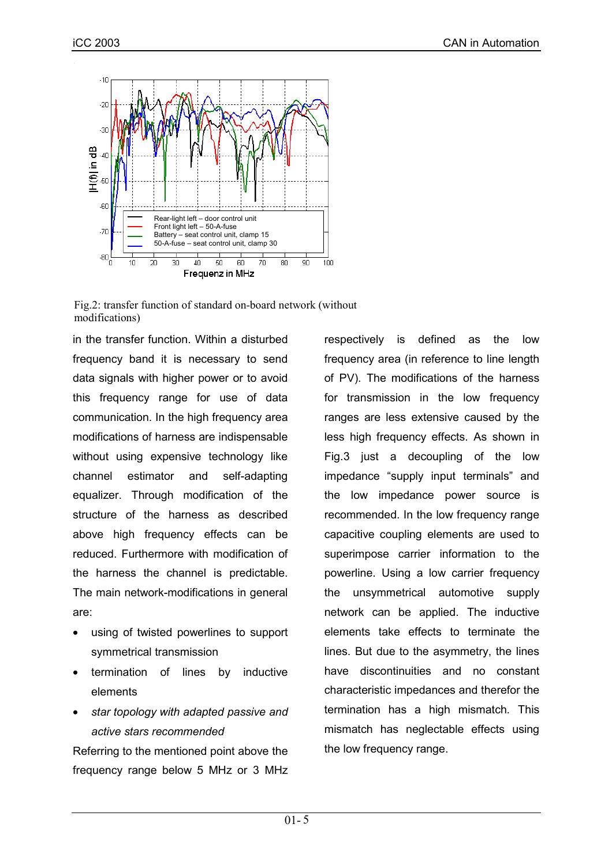

Fig.2: transfer function of standard on-board network (without modifications)

in the transfer function. Within a disturbed frequency band it is necessary to send data signals with higher power or to avoid this frequency range for use of data communication. In the high frequency area modifications of harness are indispensable without using expensive technology like channel estimator and self-adapting equalizer. Through modification of the structure of the harness as described above high frequency effects can be reduced. Furthermore with modification of the harness the channel is predictable. The main network-modifications in general are:

- using of twisted powerlines to support symmetrical transmission
- termination of lines by inductive elements
- *star topology with adapted passive and active stars recommended*

Referring to the mentioned point above the frequency range below 5 MHz or 3 MHz respectively is defined as the low frequency area (in reference to line length of PV). The modifications of the harness for transmission in the low frequency ranges are less extensive caused by the less high frequency effects. As shown in Fig.3 just a decoupling of the low impedance "supply input terminals" and the low impedance power source is recommended. In the low frequency range capacitive coupling elements are used to superimpose carrier information to the powerline. Using a low carrier frequency the unsymmetrical automotive supply network can be applied. The inductive elements take effects to terminate the lines. But due to the asymmetry, the lines have discontinuities and no constant characteristic impedances and therefor the termination has a high mismatch. This mismatch has neglectable effects using the low frequency range.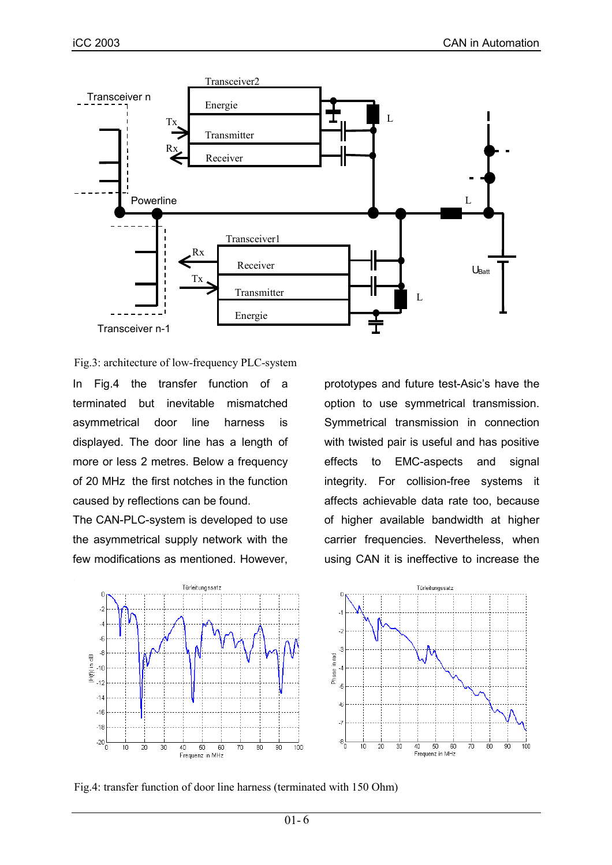

Fig.3: architecture of low-frequency PLC-system

In Fig.4 the transfer function of a terminated but inevitable mismatched asymmetrical door line harness is displayed. The door line has a length of more or less 2 metres. Below a frequency of 20 MHz the first notches in the function caused by reflections can be found.

The CAN-PLC-system is developed to use the asymmetrical supply network with the few modifications as mentioned. However,

prototypes and future test-Asic's have the option to use symmetrical transmission. Symmetrical transmission in connection with twisted pair is useful and has positive effects to EMC-aspects and signal integrity. For collision-free systems it affects achievable data rate too, because of higher available bandwidth at higher carrier frequencies. Nevertheless, when using CAN it is ineffective to increase the



Fig.4: transfer function of door line harness (terminated with 150 Ohm)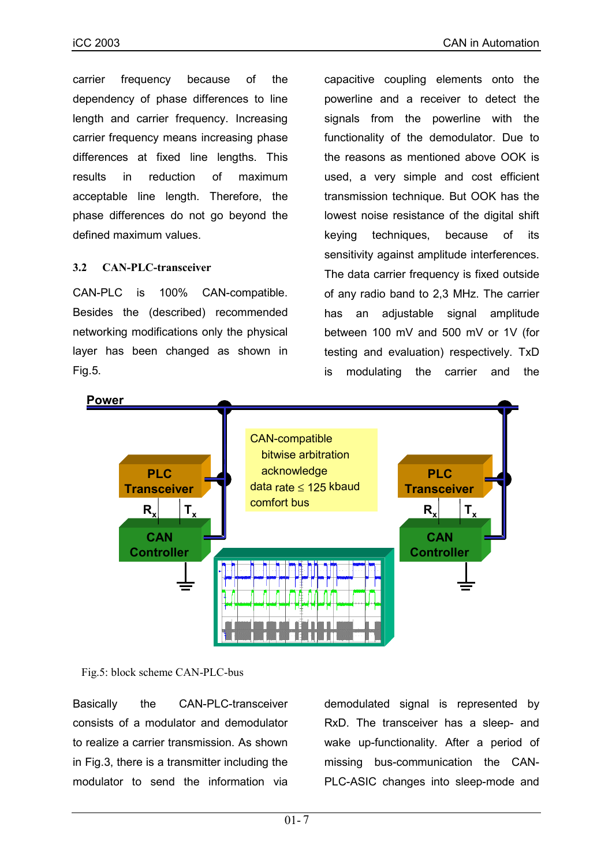carrier frequency because of the dependency of phase differences to line length and carrier frequency. Increasing carrier frequency means increasing phase differences at fixed line lengths. This results in reduction of maximum acceptable line length. Therefore, the phase differences do not go beyond the defined maximum values.

## **3.2 CAN-PLC-transceiver**

CAN-PLC is 100% CAN-compatible. Besides the (described) recommended networking modifications only the physical layer has been changed as shown in Fig.5.

capacitive coupling elements onto the powerline and a receiver to detect the signals from the powerline with the functionality of the demodulator. Due to the reasons as mentioned above OOK is used, a very simple and cost efficient transmission technique. But OOK has the lowest noise resistance of the digital shift keying techniques, because of its sensitivity against amplitude interferences. The data carrier frequency is fixed outside of any radio band to 2,3 MHz. The carrier has an adjustable signal amplitude between 100 mV and 500 mV or 1V (for testing and evaluation) respectively. TxD is modulating the carrier and the



Fig.5: block scheme CAN-PLC-bus

Basically the CAN-PLC-transceiver consists of a modulator and demodulator to realize a carrier transmission. As shown in Fig.3, there is a transmitter including the modulator to send the information via

demodulated signal is represented by RxD. The transceiver has a sleep- and wake up-functionality. After a period of missing bus-communication the CAN-PLC-ASIC changes into sleep-mode and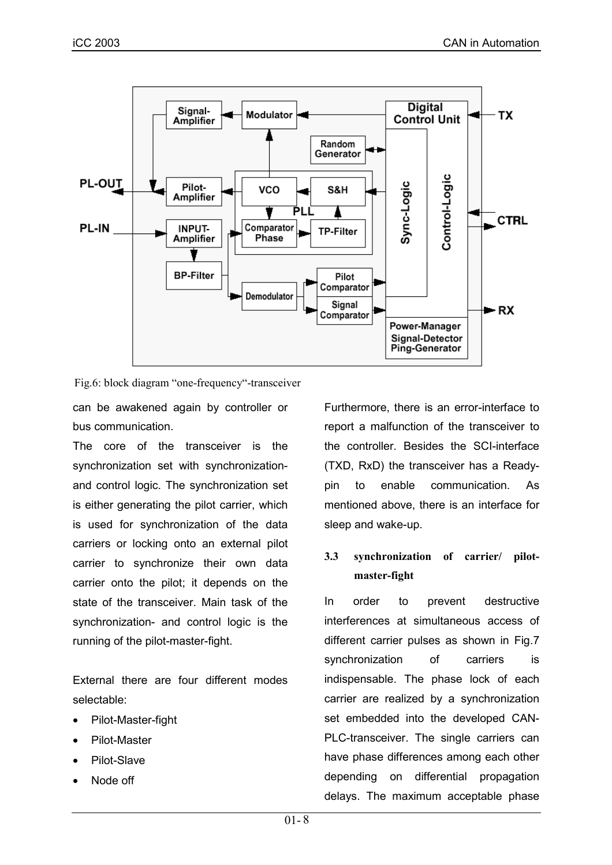

Fig.6: block diagram "one-frequency"-transceiver

can be awakened again by controller or bus communication.

The core of the transceiver is the synchronization set with synchronizationand control logic. The synchronization set is either generating the pilot carrier, which is used for synchronization of the data carriers or locking onto an external pilot carrier to synchronize their own data carrier onto the pilot; it depends on the state of the transceiver. Main task of the synchronization- and control logic is the running of the pilot-master-fight.

External there are four different modes selectable:

- Pilot-Master-fight
- Pilot-Master
- Pilot-Slave
- Node off

Furthermore, there is an error-interface to report a malfunction of the transceiver to the controller. Besides the SCI-interface (TXD, RxD) the transceiver has a Readypin to enable communication. As mentioned above, there is an interface for sleep and wake-up.

## **3.3 synchronization of carrier/ pilotmaster-fight**

In order to prevent destructive interferences at simultaneous access of different carrier pulses as shown in Fig.7 synchronization of carriers is indispensable. The phase lock of each carrier are realized by a synchronization set embedded into the developed CAN-PLC-transceiver. The single carriers can have phase differences among each other depending on differential propagation delays. The maximum acceptable phase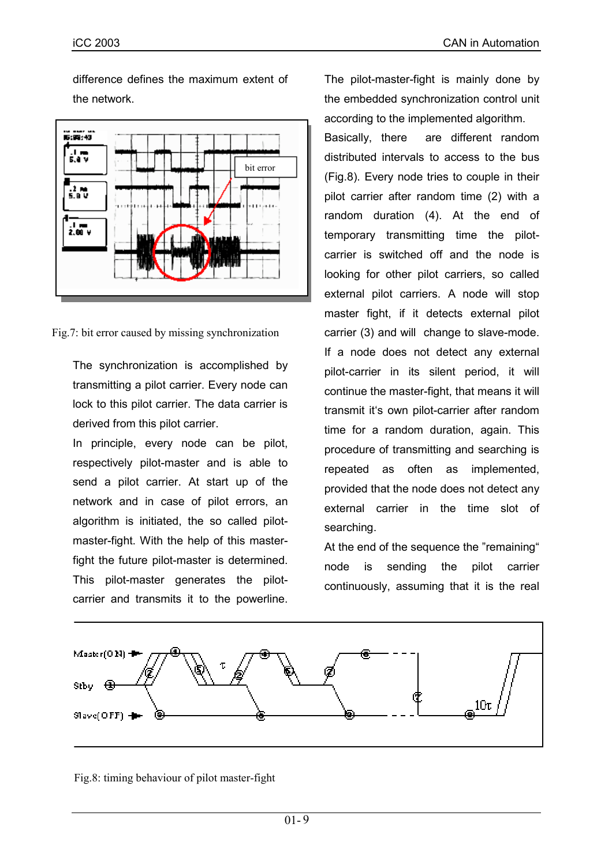difference defines the maximum extent of the network.



Fig.7: bit error caused by missing synchronization

The synchronization is accomplished by transmitting a pilot carrier. Every node can lock to this pilot carrier. The data carrier is derived from this pilot carrier.

In principle, every node can be pilot, respectively pilot-master and is able to send a pilot carrier. At start up of the network and in case of pilot errors, an algorithm is initiated, the so called pilotmaster-fight. With the help of this masterfight the future pilot-master is determined. This pilot-master generates the pilotcarrier and transmits it to the powerline.

The pilot-master-fight is mainly done by the embedded synchronization control unit according to the implemented algorithm.

Basically, there are different random distributed intervals to access to the bus (Fig.8). Every node tries to couple in their pilot carrier after random time (2) with a random duration (4). At the end of temporary transmitting time the pilotcarrier is switched off and the node is looking for other pilot carriers, so called external pilot carriers. A node will stop master fight, if it detects external pilot carrier (3) and will change to slave-mode. If a node does not detect any external pilot-carrier in its silent period, it will continue the master-fight, that means it will transmit it's own pilot-carrier after random time for a random duration, again. This procedure of transmitting and searching is repeated as often as implemented, provided that the node does not detect any external carrier in the time slot of searching.

At the end of the sequence the "remaining" node is sending the pilot carrier continuously, assuming that it is the real



Fig.8: timing behaviour of pilot master-fight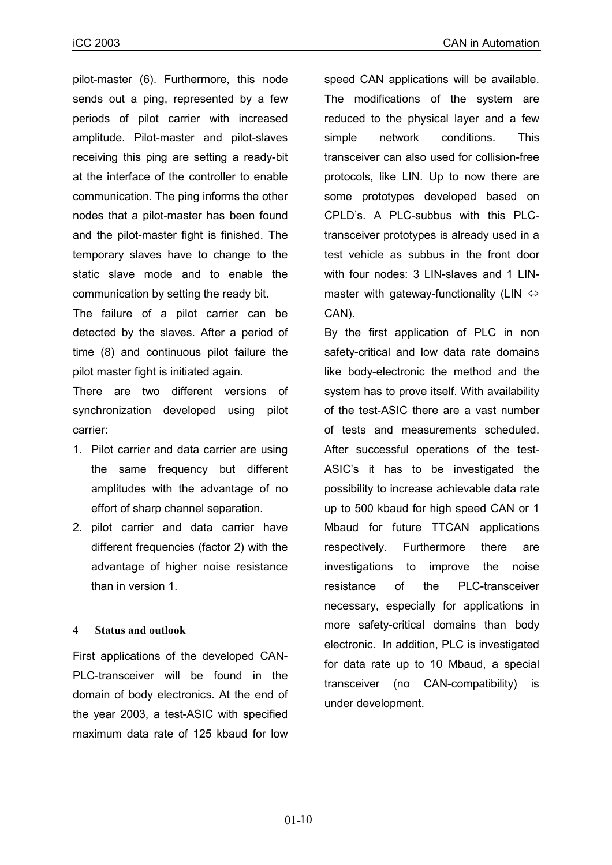pilot-master (6). Furthermore, this node sends out a ping, represented by a few periods of pilot carrier with increased amplitude. Pilot-master and pilot-slaves receiving this ping are setting a ready-bit at the interface of the controller to enable communication. The ping informs the other nodes that a pilot-master has been found and the pilot-master fight is finished. The temporary slaves have to change to the static slave mode and to enable the communication by setting the ready bit.

The failure of a pilot carrier can be detected by the slaves. After a period of time (8) and continuous pilot failure the pilot master fight is initiated again.

There are two different versions of synchronization developed using pilot carrier:

- 1. Pilot carrier and data carrier are using the same frequency but different amplitudes with the advantage of no effort of sharp channel separation.
- 2. pilot carrier and data carrier have different frequencies (factor 2) with the advantage of higher noise resistance than in version 1.

## **4 Status and outlook**

First applications of the developed CAN-PLC-transceiver will be found in the domain of body electronics. At the end of the year 2003, a test-ASIC with specified maximum data rate of 125 kbaud for low

speed CAN applications will be available. The modifications of the system are reduced to the physical layer and a few simple network conditions. This transceiver can also used for collision-free protocols, like LIN. Up to now there are some prototypes developed based on CPLDís. A PLC-subbus with this PLCtransceiver prototypes is already used in a test vehicle as subbus in the front door with four nodes: 3 LIN-slaves and 1 LINmaster with gateway-functionality (LIN  $\Leftrightarrow$ CAN).

By the first application of PLC in non safety-critical and low data rate domains like body-electronic the method and the system has to prove itself. With availability of the test-ASIC there are a vast number of tests and measurements scheduled. After successful operations of the test-ASIC's it has to be investigated the possibility to increase achievable data rate up to 500 kbaud for high speed CAN or 1 Mbaud for future TTCAN applications respectively. Furthermore there are investigations to improve the noise resistance of the PLC-transceiver necessary, especially for applications in more safety-critical domains than body electronic. In addition, PLC is investigated for data rate up to 10 Mbaud, a special transceiver (no CAN-compatibility) is under development.